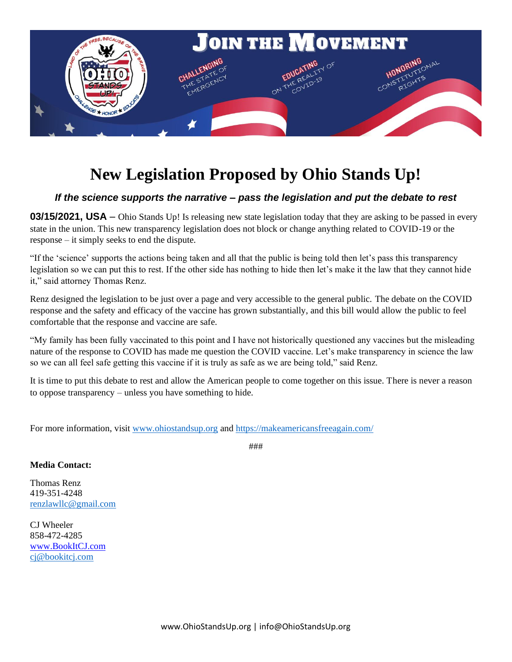

### **New Legislation Proposed by Ohio Stands Up!**

#### *If the science supports the narrative – pass the legislation and put the debate to rest*

**03/15/2021, USA** – Ohio Stands Up! Is releasing new state legislation today that they are asking to be passed in every state in the union. This new transparency legislation does not block or change anything related to COVID-19 or the response – it simply seeks to end the dispute.

"If the 'science' supports the actions being taken and all that the public is being told then let's pass this transparency legislation so we can put this to rest. If the other side has nothing to hide then let's make it the law that they cannot hide it," said attorney Thomas Renz.

Renz designed the legislation to be just over a page and very accessible to the general public. The debate on the COVID response and the safety and efficacy of the vaccine has grown substantially, and this bill would allow the public to feel comfortable that the response and vaccine are safe.

"My family has been fully vaccinated to this point and I have not historically questioned any vaccines but the misleading nature of the response to COVID has made me question the COVID vaccine. Let's make transparency in science the law so we can all feel safe getting this vaccine if it is truly as safe as we are being told," said Renz.

It is time to put this debate to rest and allow the American people to come together on this issue. There is never a reason to oppose transparency – unless you have something to hide.

For more information, visit [www.ohiostandsup.org](http://www.ohiostandsup.org/) and<https://makeamericansfreeagain.com/>

**Media Contact:**

Thomas Renz 419-351-4248 [renzlawllc@gmail.com](mailto:renzlawllc@gmail.com)

CJ Wheeler 858-472-4285 [www.BookItCJ.com](http://www.bookitcj.com/) [cj@bookitcj.com](mailto:cj@bookitcj.com)

###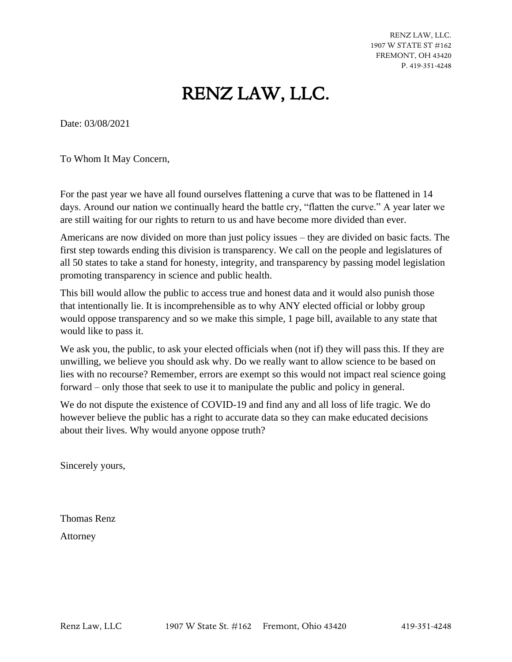RENZ LAW, LLC. 1907 W STATE ST #162 FREMONT, OH 43420 P. 419-351-4248

## RENZ LAW, LLC.

Date: 03/08/2021

To Whom It May Concern,

For the past year we have all found ourselves flattening a curve that was to be flattened in 14 days. Around our nation we continually heard the battle cry, "flatten the curve." A year later we are still waiting for our rights to return to us and have become more divided than ever.

Americans are now divided on more than just policy issues – they are divided on basic facts. The first step towards ending this division is transparency. We call on the people and legislatures of all 50 states to take a stand for honesty, integrity, and transparency by passing model legislation promoting transparency in science and public health.

This bill would allow the public to access true and honest data and it would also punish those that intentionally lie. It is incomprehensible as to why ANY elected official or lobby group would oppose transparency and so we make this simple, 1 page bill, available to any state that would like to pass it.

We ask you, the public, to ask your elected officials when (not if) they will pass this. If they are unwilling, we believe you should ask why. Do we really want to allow science to be based on lies with no recourse? Remember, errors are exempt so this would not impact real science going forward – only those that seek to use it to manipulate the public and policy in general.

We do not dispute the existence of COVID-19 and find any and all loss of life tragic. We do however believe the public has a right to accurate data so they can make educated decisions about their lives. Why would anyone oppose truth?

Sincerely yours,

Thomas Renz Attorney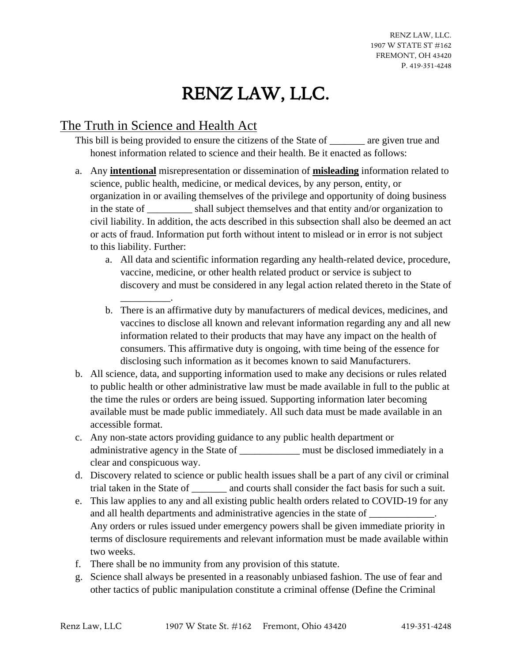# RENZ LAW, LLC.

#### The Truth in Science and Health Act

\_\_\_\_\_\_\_\_\_\_.

This bill is being provided to ensure the citizens of the State of are given true and honest information related to science and their health. Be it enacted as follows:

- a. Any **intentional** misrepresentation or dissemination of **misleading** information related to science, public health, medicine, or medical devices, by any person, entity, or organization in or availing themselves of the privilege and opportunity of doing business in the state of \_\_\_\_\_\_\_\_\_ shall subject themselves and that entity and/or organization to civil liability. In addition, the acts described in this subsection shall also be deemed an act or acts of fraud. Information put forth without intent to mislead or in error is not subject to this liability. Further:
	- a. All data and scientific information regarding any health-related device, procedure, vaccine, medicine, or other health related product or service is subject to discovery and must be considered in any legal action related thereto in the State of
	- b. There is an affirmative duty by manufacturers of medical devices, medicines, and vaccines to disclose all known and relevant information regarding any and all new information related to their products that may have any impact on the health of consumers. This affirmative duty is ongoing, with time being of the essence for disclosing such information as it becomes known to said Manufacturers.
- b. All science, data, and supporting information used to make any decisions or rules related to public health or other administrative law must be made available in full to the public at the time the rules or orders are being issued. Supporting information later becoming available must be made public immediately. All such data must be made available in an accessible format.
- c. Any non-state actors providing guidance to any public health department or administrative agency in the State of \_\_\_\_\_\_\_\_\_\_\_\_ must be disclosed immediately in a clear and conspicuous way.
- d. Discovery related to science or public health issues shall be a part of any civil or criminal trial taken in the State of \_\_\_\_\_\_\_ and courts shall consider the fact basis for such a suit.
- e. This law applies to any and all existing public health orders related to COVID-19 for any and all health departments and administrative agencies in the state of \_\_\_\_\_\_\_\_\_\_\_\_. Any orders or rules issued under emergency powers shall be given immediate priority in terms of disclosure requirements and relevant information must be made available within two weeks.
- f. There shall be no immunity from any provision of this statute.
- g. Science shall always be presented in a reasonably unbiased fashion. The use of fear and other tactics of public manipulation constitute a criminal offense (Define the Criminal